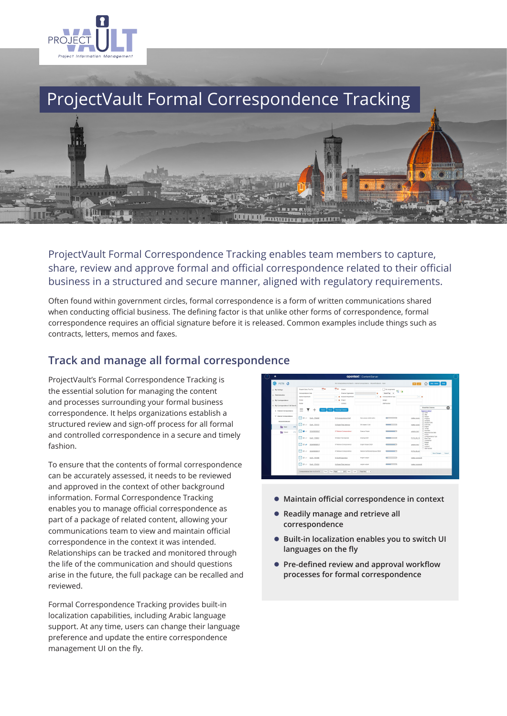

# ProjectVault Formal Correspondence Tracking



ProjectVault Formal Correspondence Tracking enables team members to capture, share, review and approve formal and official correspondence related to their official business in a structured and secure manner, aligned with regulatory requirements.

Often found within government circles, formal correspondence is a form of written communications shared when conducting official business. The defining factor is that unlike other forms of correspondence, formal correspondence requires an official signature before it is released. Common examples include things such as contracts, letters, memos and faxes.

### **Track and manage all formal correspondence**

ProjectVault's Formal Correspondence Tracking is the essential solution for managing the content and processes surrounding your formal business correspondence. It helps organizations establish a structured review and sign-off process for all formal and controlled correspondence in a secure and timely fashion.

To ensure that the contents of formal correspondence can be accurately assessed, it needs to be reviewed and approved in the context of other background information. Formal Correspondence Tracking enables you to manage official correspondence as part of a package of related content, allowing your communications team to view and maintain official correspondence in the context it was intended. Relationships can be tracked and monitored through the life of the communication and should questions arise in the future, the full package can be recalled and reviewed.

Formal Correspondence Tracking provides built-in localization capabilities, including Arabic language support. At any time, users can change their language preference and update the entire correspondence management UI on the fly.

| > My Settings                                    | $-x$<br>Deaddy Bela (From/To)                      | <b>EX</b> based                           |                                  | Ny Assignments           |                 |                                                                                                                   |
|--------------------------------------------------|----------------------------------------------------|-------------------------------------------|----------------------------------|--------------------------|-----------------|-------------------------------------------------------------------------------------------------------------------|
|                                                  | Compensation Code                                  | <b>Colemal Organization</b>               | ×                                | 16<br>Select Floor - w   |                 |                                                                                                                   |
| V. Administration                                | <b>Senter Department</b>                           | . 30 Fleckpland Department                |                                  | - M Conspondence Tops    | $-2$            |                                                                                                                   |
| > My Commondered                                 | Platy                                              | $-2$<br><b>Flow2</b>                      |                                  | <b>Builder</b>           |                 |                                                                                                                   |
| V My Commpositione Fall Search                   | Tender                                             | Centred                                   |                                  | <b>Staff Manhan</b>      |                 |                                                                                                                   |
| 3 Estemal Comvergence                            | $=$<br><b>Search</b>                               | <b>Assessed Columns</b><br><b>Parties</b> |                                  |                          |                 | ø<br>Stewillide Columns                                                                                           |
|                                                  |                                                    |                                           |                                  |                          |                 | Region to details<br><b>Code</b><br>22.980                                                                        |
| V Internet Convenpondence                        | $\Box$ (i) $\phi$ = Dott - 176465                  | 01 Convenience Draft                      | New access control policy        | <b>Contract Contract</b> | matteo caven    | P spec<br>P Progress<br>C Assigned<br>C Dopenn Date<br>- From Dep<br>- Proect<br>- To Cam<br>C Due Date           |
| Mound Outboxed<br>iddi.                          | $M =$ $\alpha$ and trains:                         | 04 Select Final Approval:                 | EN Sulpt (12.43)                 | $\equiv$                 | meteo cevan     |                                                                                                                   |
| <b>Reg</b> Open<br>$\sigma$<br><b>Big</b> Closed | ◚◾<br>2020/00000807<br>$\sim$                      | 07 Retrieve Comespondence                 | <b>Deered Project</b>            |                          | antipolo xino)  |                                                                                                                   |
|                                                  |                                                    |                                           |                                  |                          |                 | <b>Response Oue Date</b><br>Point.<br>Constitutions Tree                                                          |
|                                                  | ⊠≡∽<br>Draft - 1706651                             | 04 Select Final Approver                  | Drawing GOSS                     |                          | FCTS OS 74      | <b>Best Type</b><br>Contdertial<br><b>Budget</b><br><b>Ticker</b><br>Contract<br>Out lumbs<br>Save Changes Cancel |
|                                                  | ⊡ாச<br>2020/00000117                               | 07 Fabricys Componentierca                | English Subject 2520             |                          | arriprio vinci  |                                                                                                                   |
|                                                  | $\nabla u \circ$<br>2020/00/00/01 17               | Of Fabreys Commissioning                  | Medical Cardinials Resolves M335 | $\sim$                   | PCTS_05_63      |                                                                                                                   |
|                                                  | $\Box \blacksquare \blacksquare$<br>Doll - 1761400 | 01 Draft Supervision                      | English subject                  |                          | matteo canantol |                                                                                                                   |
|                                                  | $\Box$<br>Dott - 1761903                           | 04 Select Final Approves                  | english subject                  |                          | mateo cayenaghi |                                                                                                                   |

- **Maintain official correspondence in context**
- **Readily manage and retrieve all correspondence**
- **Built-in localization enables you to switch UI languages on the fly**
- **Pre-defined review and approval workflow processes for formal correspondence**